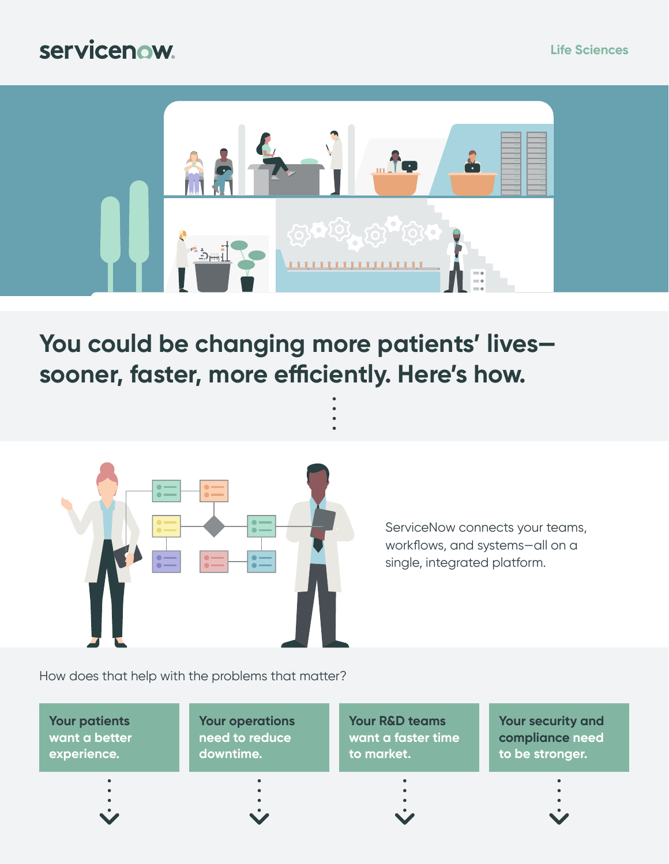#### servicenow.



**You could be changing more patients' lives sooner, faster, more efficiently. Here's how.**



ServiceNow connects your teams, workflows, and systems—all on a single, integrated platform.

How does that help with the problems that matter?

**Your patients [want a better](#page-1-0)  experience.**

**[Your operations](#page-2-0)  need to reduce downtime.**

**Your R&D teams [want a faster time](#page-3-0)  to market.**

**Your security and [compliance need](#page-4-0)  to be stronger.**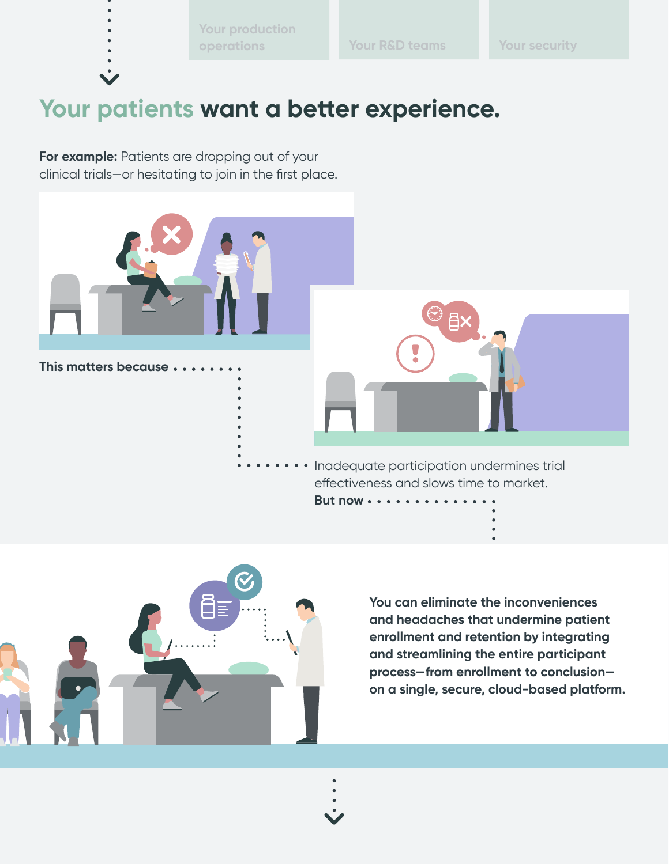**[Your production](#page-2-0)  operations [Your R&D teams](#page-3-0) [Your security](#page-4-0)**

# <span id="page-1-0"></span>**Your patients want a better experience.**

**For example:** Patients are dropping out of your clinical trials—or hesitating to join in the first place.





**You can eliminate the inconveniences and headaches that undermine patient enrollment and retention by integrating and streamlining the entire participant process—from enrollment to conclusion on a single, secure, cloud-based platform.**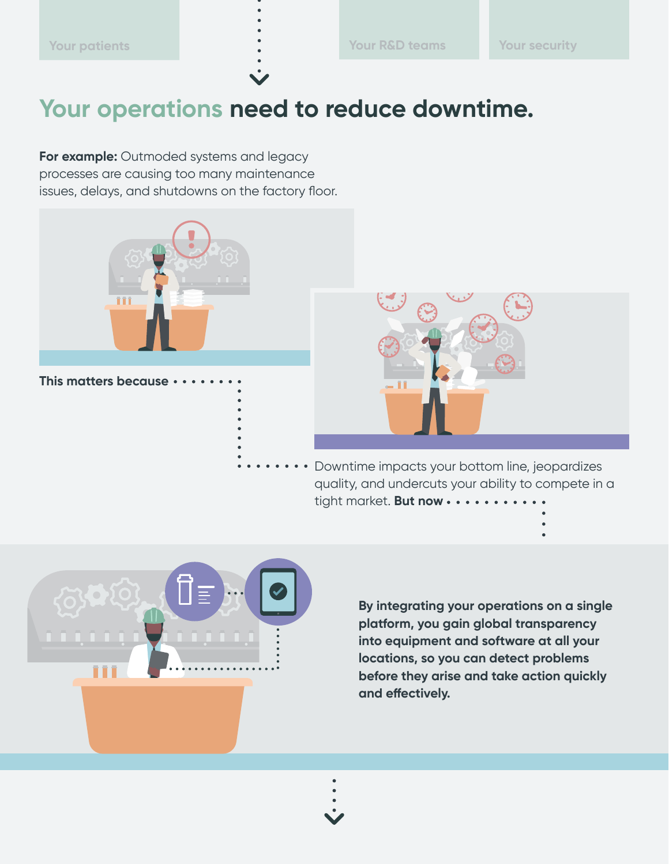## <span id="page-2-0"></span>**Your operations need to reduce downtime.**

**For example:** Outmoded systems and legacy processes are causing too many maintenance issues, delays, and shutdowns on the factory floor.





Downtime impacts your bottom line, jeopardizes quality, and undercuts your ability to compete in a tight market. **But now** 



**By integrating your operations on a single platform, you gain global transparency into equipment and software at all your locations, so you can detect problems before they arise and take action quickly and effectively.**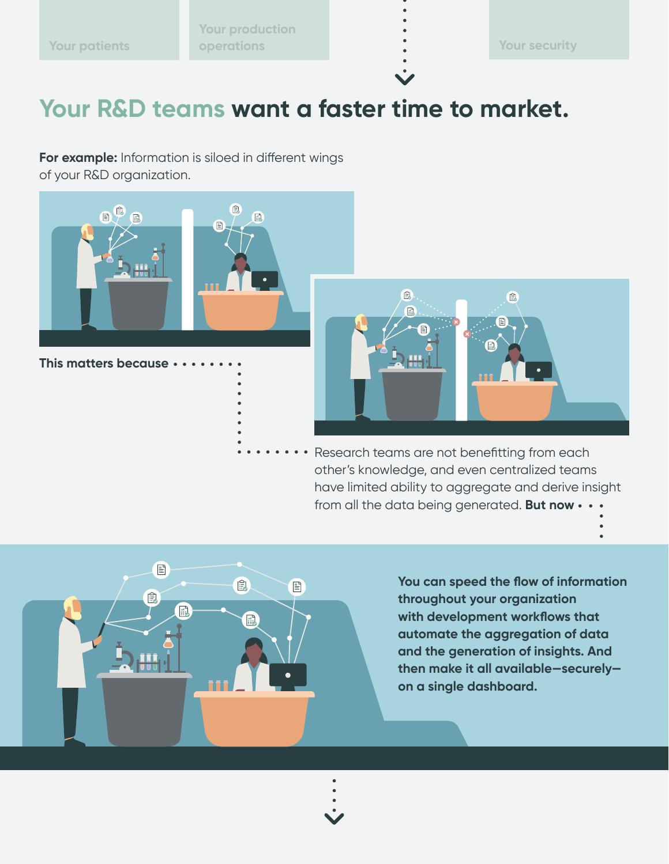<span id="page-3-0"></span>**[Your production](#page-2-0)  [Your patients](#page-1-0) operations [Your security](#page-4-0)**

### **Your R&D teams want a faster time to market.**

**For example:** Information is siloed in different wings of your R&D organization.



**This matters because**



• Research teams are not benefitting from each other's knowledge, and even centralized teams have limited ability to aggregate and derive insight from all the data being generated. **But now**



**You can speed the flow of information throughout your organization with development workflows that automate the aggregation of data and the generation of insights. And then make it all available—securely on a single dashboard.**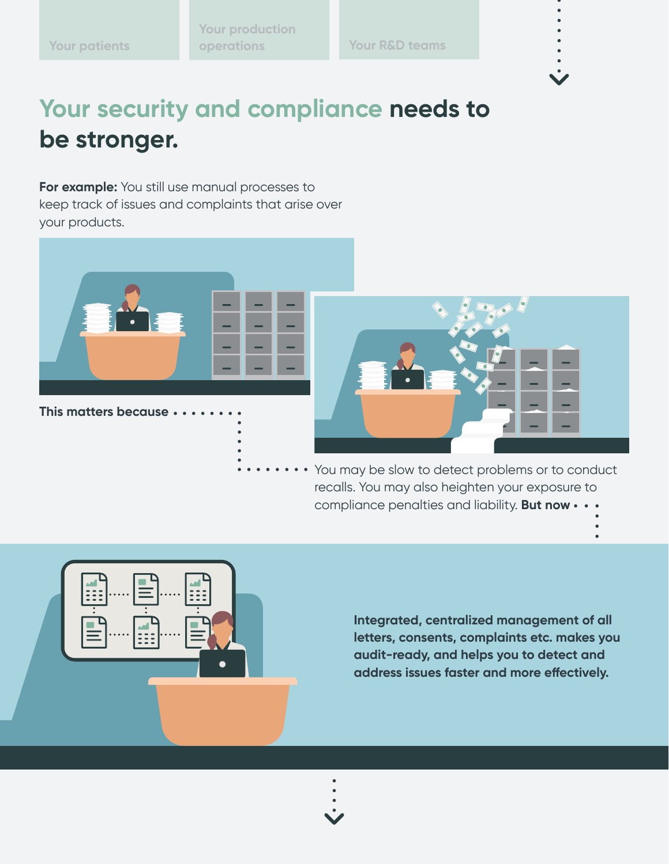<span id="page-4-0"></span>**[Your production](#page-2-0)  [Your patients](#page-1-0) operations [Your R&D teams](#page-3-0)** 

# **Your security and compliance needs to be stronger.**

**For example:** You still use manual processes to keep track of issues and complaints that arise over your products.



**This matters because**



You may be slow to detect problems or to conduct recalls. You may also heighten your exposure to compliance penalties and liability. **But now**



**Integrated, centralized management of all letters, consents, complaints etc. makes you audit-ready, and helps you to detect and address issues faster and more effectively.**